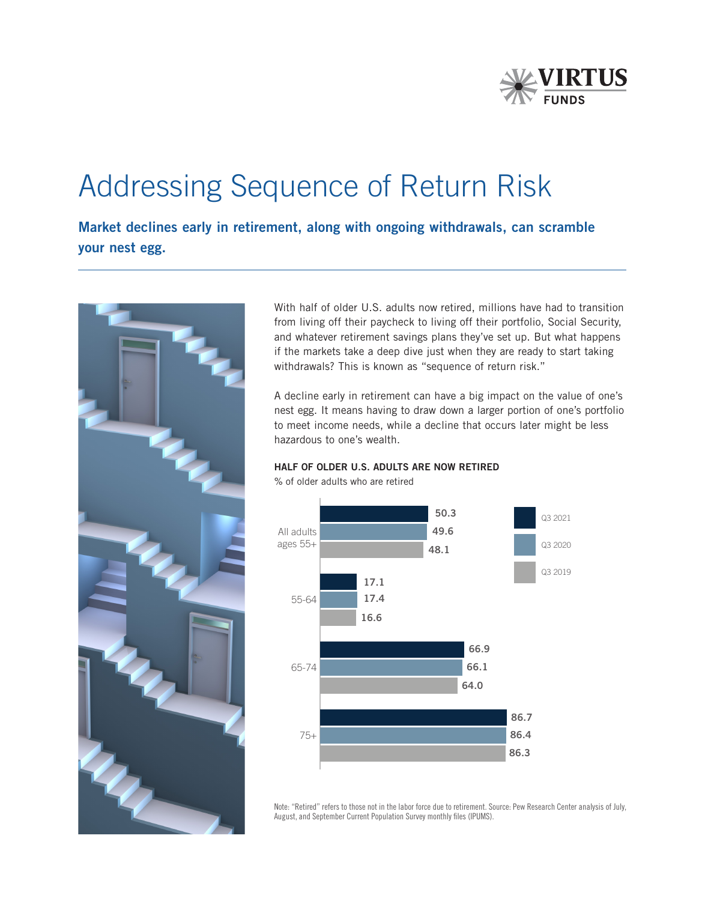

# Addressing Sequence of Return Risk

Market declines early in retirement, along with ongoing withdrawals, can scramble your nest egg.



With half of older U.S. adults now retired, millions have had to transition from living off their paycheck to living off their portfolio, Social Security, and whatever retirement savings plans they've set up. But what happens if the markets take a deep dive just when they are ready to start taking withdrawals? This is known as "sequence of return risk."

A decline early in retirement can have a big impact on the value of one's nest egg. It means having to draw down a larger portion of one's portfolio to meet income needs, while a decline that occurs later might be less hazardous to one's wealth.



% of older adults who are retired

HALF OF OLDER U.S. ADULTS ARE NOW RETIRED

Note: "Retired" refers to those not in the labor force due to retirement. Source: Pew Research Center analysis of July, August, and September Current Population Survey monthly files (IPUMS).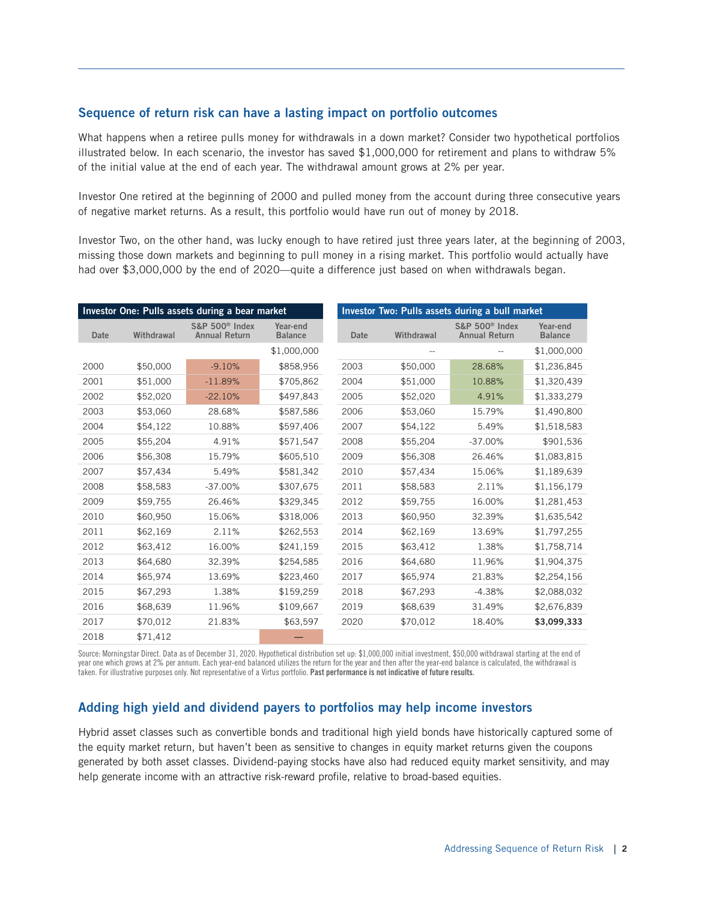## Sequence of return risk can have a lasting impact on portfolio outcomes

What happens when a retiree pulls money for withdrawals in a down market? Consider two hypothetical portfolios illustrated below. In each scenario, the investor has saved \$1,000,000 for retirement and plans to withdraw 5% of the initial value at the end of each year. The withdrawal amount grows at 2% per year.

Investor One retired at the beginning of 2000 and pulled money from the account during three consecutive years of negative market returns. As a result, this portfolio would have run out of money by 2018.

Investor Two, on the other hand, was lucky enough to have retired just three years later, at the beginning of 2003, missing those down markets and beginning to pull money in a rising market. This portfolio would actually have had over \$3,000,000 by the end of 2020—quite a difference just based on when withdrawals began.

|             |            | Investor One: Pulls assets during a bear market    |                            | Investor Two: Pulls assets during a bull market |            |                                                    |                            |
|-------------|------------|----------------------------------------------------|----------------------------|-------------------------------------------------|------------|----------------------------------------------------|----------------------------|
| <b>Date</b> | Withdrawal | S&P 500 <sup>®</sup> Index<br><b>Annual Return</b> | Year-end<br><b>Balance</b> | Date                                            | Withdrawal | S&P 500 <sup>®</sup> Index<br><b>Annual Return</b> | Year-end<br><b>Balance</b> |
|             |            |                                                    | \$1,000,000                |                                                 |            |                                                    | \$1,000,000                |
| 2000        | \$50,000   | $-9.10%$                                           | \$858,956                  | 2003                                            | \$50,000   | 28.68%                                             | \$1,236,845                |
| 2001        | \$51,000   | $-11.89%$                                          | \$705,862                  | 2004                                            | \$51,000   | 10.88%                                             | \$1,320,439                |
| 2002        | \$52,020   | $-22.10%$                                          | \$497,843                  | 2005                                            | \$52,020   | 4.91%                                              | \$1,333,279                |
| 2003        | \$53,060   | 28.68%                                             | \$587,586                  | 2006                                            | \$53,060   | 15.79%                                             | \$1,490,800                |
| 2004        | \$54,122   | 10.88%                                             | \$597,406                  | 2007                                            | \$54,122   | 5.49%                                              | \$1,518,583                |
| 2005        | \$55,204   | 4.91%                                              | \$571,547                  | 2008                                            | \$55,204   | $-37.00%$                                          | \$901,536                  |
| 2006        | \$56,308   | 15.79%                                             | \$605,510                  | 2009                                            | \$56,308   | 26.46%                                             | \$1,083,815                |
| 2007        | \$57,434   | 5.49%                                              | \$581,342                  | 2010                                            | \$57,434   | 15.06%                                             | \$1,189,639                |
| 2008        | \$58,583   | $-37.00%$                                          | \$307,675                  | 2011                                            | \$58,583   | 2.11%                                              | \$1,156,179                |
| 2009        | \$59,755   | 26.46%                                             | \$329,345                  | 2012                                            | \$59,755   | 16.00%                                             | \$1,281,453                |
| 2010        | \$60,950   | 15.06%                                             | \$318,006                  | 2013                                            | \$60,950   | 32.39%                                             | \$1,635,542                |
| 2011        | \$62,169   | 2.11%                                              | \$262,553                  | 2014                                            | \$62,169   | 13.69%                                             | \$1,797,255                |
| 2012        | \$63,412   | 16.00%                                             | \$241,159                  | 2015                                            | \$63,412   | 1.38%                                              | \$1,758,714                |
| 2013        | \$64,680   | 32.39%                                             | \$254,585                  | 2016                                            | \$64,680   | 11.96%                                             | \$1,904,375                |
| 2014        | \$65,974   | 13.69%                                             | \$223,460                  | 2017                                            | \$65,974   | 21.83%                                             | \$2,254,156                |
| 2015        | \$67,293   | 1.38%                                              | \$159,259                  | 2018                                            | \$67,293   | $-4.38%$                                           | \$2,088,032                |
| 2016        | \$68,639   | 11.96%                                             | \$109,667                  | 2019                                            | \$68,639   | 31.49%                                             | \$2,676,839                |
| 2017        | \$70,012   | 21.83%                                             | \$63,597                   | 2020                                            | \$70,012   | 18.40%                                             | \$3,099,333                |
| 2018        | \$71.412   |                                                    |                            |                                                 |            |                                                    |                            |

Source: Morningstar Direct. Data as of December 31, 2020. Hypothetical distribution set up: \$1,000,000 initial investment, \$50,000 withdrawal starting at the end of year one which grows at 2% per annum. Each year-end balanced utilizes the return for the year and then after the year-end balance is calculated, the withdrawal is taken. For illustrative purposes only. Not representative of a Virtus portfolio. Past performance is not indicative of future results.

## Adding high yield and dividend payers to portfolios may help income investors

Hybrid asset classes such as convertible bonds and traditional high yield bonds have historically captured some of the equity market return, but haven't been as sensitive to changes in equity market returns given the coupons generated by both asset classes. Dividend-paying stocks have also had reduced equity market sensitivity, and may help generate income with an attractive risk-reward profile, relative to broad-based equities.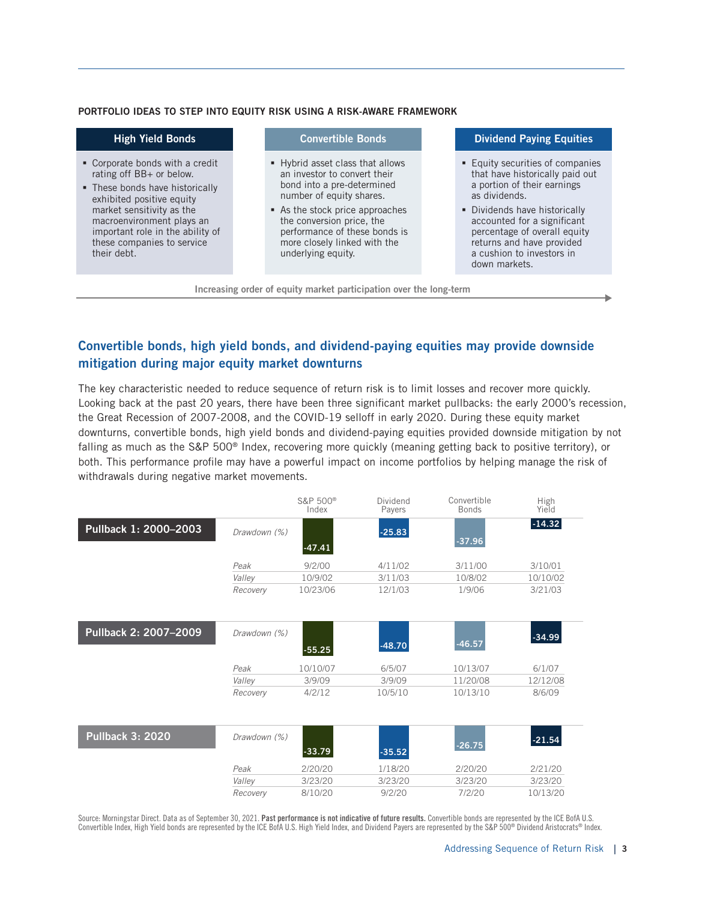#### PORTFOLIO IDEAS TO STEP INTO EQUITY RISK USING A RISK-AWARE FRAMEWORK

| <b>High Yield Bonds</b>                                                                                                                                                                                                                                                |  | <b>Convertible Bonds</b>                                                                                                                                                                                                                                                        |  | <b>Dividend Paying Equities</b>                                                                                                                                                                                                                                                                |  |  |  |
|------------------------------------------------------------------------------------------------------------------------------------------------------------------------------------------------------------------------------------------------------------------------|--|---------------------------------------------------------------------------------------------------------------------------------------------------------------------------------------------------------------------------------------------------------------------------------|--|------------------------------------------------------------------------------------------------------------------------------------------------------------------------------------------------------------------------------------------------------------------------------------------------|--|--|--|
| • Corporate bonds with a credit<br>rating off BB+ or below.<br>• These bonds have historically<br>exhibited positive equity<br>market sensitivity as the<br>macroenvironment plays an<br>important role in the ability of<br>these companies to service<br>their debt. |  | • Hybrid asset class that allows<br>an investor to convert their<br>bond into a pre-determined<br>number of equity shares.<br>As the stock price approaches<br>the conversion price, the<br>performance of these bonds is<br>more closely linked with the<br>underlying equity. |  | ■ Equity securities of companies<br>that have historically paid out<br>a portion of their earnings<br>as dividends.<br>• Dividends have historically<br>accounted for a significant<br>percentage of overall equity<br>returns and have provided<br>a cushion to investors in<br>down markets. |  |  |  |
| Increasing order of equity market participation over the long-term                                                                                                                                                                                                     |  |                                                                                                                                                                                                                                                                                 |  |                                                                                                                                                                                                                                                                                                |  |  |  |

## Convertible bonds, high yield bonds, and dividend-paying equities may provide downside mitigation during major equity market downturns

The key characteristic needed to reduce sequence of return risk is to limit losses and recover more quickly. Looking back at the past 20 years, there have been three significant market pullbacks: the early 2000's recession, the Great Recession of 2007-2008, and the COVID-19 selloff in early 2020. During these equity market downturns, convertible bonds, high yield bonds and dividend-paying equities provided downside mitigation by not falling as much as the S&P 500® Index, recovering more quickly (meaning getting back to positive territory), or both. This performance profile may have a powerful impact on income portfolios by helping manage the risk of withdrawals during negative market movements.

|                         |              | S&P 500 <sup>®</sup><br>Index | Dividend<br>Payers | Convertible<br><b>Bonds</b> | High<br>Yield |
|-------------------------|--------------|-------------------------------|--------------------|-----------------------------|---------------|
| Pullback 1: 2000-2003   | Drawdown (%) | $-47.41$                      | $-25.83$           | $-37.96$                    | $-14.32$      |
|                         | Peak         | 9/2/00                        | 4/11/02            | 3/11/00                     | 3/10/01       |
|                         | Valley       | 10/9/02                       | 3/11/03            | 10/8/02                     | 10/10/02      |
|                         | Recovery     | 10/23/06                      | 12/1/03            | 1/9/06                      | 3/21/03       |
| Pullback 2: 2007-2009   | Drawdown (%) | $-55.25$                      | $-48.70$           | $-46.57$                    | $-34.99$      |
|                         | Peak         | 10/10/07                      | 6/5/07             | 10/13/07                    | 6/1/07        |
|                         | Valley       | 3/9/09                        | 3/9/09             | 11/20/08                    | 12/12/08      |
|                         | Recovery     | 4/2/12                        | 10/5/10            | 10/13/10                    | 8/6/09        |
| <b>Pullback 3: 2020</b> | Drawdown (%) | $-33.79$                      | $-35.52$           | $-26.75$                    | $-21.54$      |
|                         | Peak         | 2/20/20                       | 1/18/20            | 2/20/20                     | 2/21/20       |
|                         | Valley       | 3/23/20                       | 3/23/20            | 3/23/20                     | 3/23/20       |
|                         | Recovery     | 8/10/20                       | 9/2/20             | 7/2/20                      | 10/13/20      |

Source: Morningstar Direct. Data as of September 30, 2021. Past performance is not indicative of future results. Convertible bonds are represented by the ICE BofA U.S. Convertible Index, High Yield bonds are represented by the ICE BofA U.S. High Yield Index, and Dividend Payers are represented by the S&P 500® Dividend Aristocrats® Index.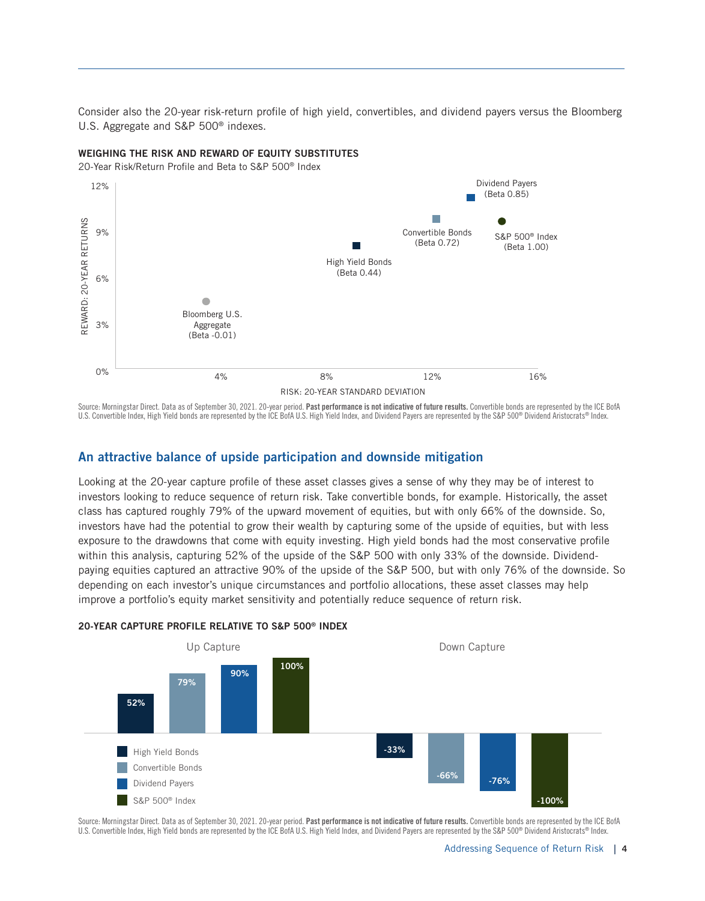Consider also the 20-year risk-return profile of high yield, convertibles, and dividend payers versus the Bloomberg U.S. Aggregate and S&P 500® indexes.

#### WEIGHING THE RISK AND REWARD OF EQUITY SUBSTITUTES

20-Year Risk/Return Profile and Beta to S&P 500® Index



Source: Morningstar Direct. Data as of September 30, 2021. 20-year period. Past performance is not indicative of future results. Convertible bonds are represented by the ICE BofA U.S. Convertible Index, High Yield bonds are represented by the ICE BofA U.S. High Yield Index, and Dividend Payers are represented by the S&P 500® Dividend Aristocrats® Index.

## An attractive balance of upside participation and downside mitigation

Looking at the 20-year capture profile of these asset classes gives a sense of why they may be of interest to investors looking to reduce sequence of return risk. Take convertible bonds, for example. Historically, the asset class has captured roughly 79% of the upward movement of equities, but with only 66% of the downside. So, investors have had the potential to grow their wealth by capturing some of the upside of equities, but with less exposure to the drawdowns that come with equity investing. High yield bonds had the most conservative profile within this analysis, capturing 52% of the upside of the S&P 500 with only 33% of the downside. Dividendpaying equities captured an attractive 90% of the upside of the S&P 500, but with only 76% of the downside. So depending on each investor's unique circumstances and portfolio allocations, these asset classes may help improve a portfolio's equity market sensitivity and potentially reduce sequence of return risk.



#### 20-YEAR CAPTURE PROFILE RELATIVE TO S&P 500® INDEX

Source: Morningstar Direct. Data as of September 30, 2021. 20-year period. Past performance is not indicative of future results. Convertible bonds are represented by the ICE BofA U.S. Convertible Index, High Yield bonds are represented by the ICE BofA U.S. High Yield Index, and Dividend Payers are represented by the S&P 500® Dividend Aristocrats® Index.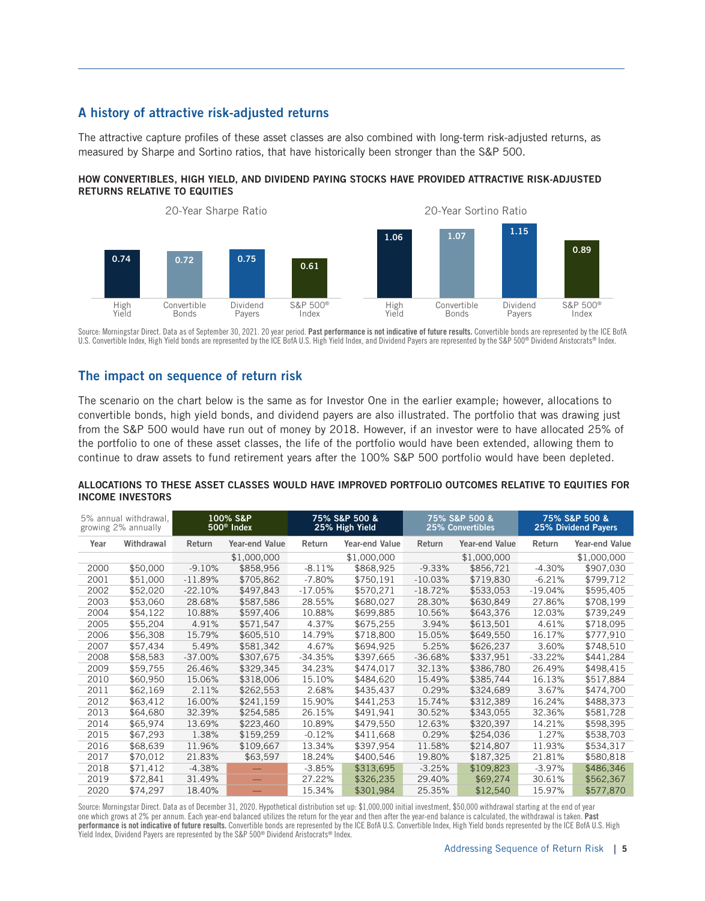## A history of attractive risk-adjusted returns

The attractive capture profiles of these asset classes are also combined with long-term risk-adjusted returns, as measured by Sharpe and Sortino ratios, that have historically been stronger than the S&P 500.

#### HOW CONVERTIBLES, HIGH YIELD, AND DIVIDEND PAYING STOCKS HAVE PROVIDED ATTRACTIVE RISK-ADJUSTED RETURNS RELATIVE TO EQUITIES



Source: Morningstar Direct. Data as of September 30, 2021. 20 year period. **Past performance is not indicative of future results.** Convertible bonds are represented by the ICE BofA U.S. Convertible Index, High Yield bonds are represented by the ICE BofA U.S. High Yield Index, and Dividend Payers are represented by the S&P 500® Dividend Aristocrats® Index.

## The impact on sequence of return risk

The scenario on the chart below is the same as for Investor One in the earlier example; however, allocations to convertible bonds, high yield bonds, and dividend payers are also illustrated. The portfolio that was drawing just from the S&P 500 would have run out of money by 2018. However, if an investor were to have allocated 25% of the portfolio to one of these asset classes, the life of the portfolio would have been extended, allowing them to continue to draw assets to fund retirement years after the 100% S&P 500 portfolio would have been depleted.

### ALLOCATIONS TO THESE ASSET CLASSES WOULD HAVE IMPROVED PORTFOLIO OUTCOMES RELATIVE TO EQUITIES FOR INCOME INVESTORS

| 5% annual withdrawal,<br>growing 2% annually |            | 100% S&P<br>500 <sup>®</sup> Index |                | 75% S&P 500 &<br>25% High Yield |                | 75% S&P 500 &<br>25% Convertibles |                | 75% S&P 500 &<br>25% Dividend Payers |                       |
|----------------------------------------------|------------|------------------------------------|----------------|---------------------------------|----------------|-----------------------------------|----------------|--------------------------------------|-----------------------|
| Year                                         | Withdrawal | Return                             | Year-end Value | Return                          | Year-end Value | Return                            | Year-end Value | Return                               | <b>Year-end Value</b> |
|                                              |            |                                    | \$1,000,000    |                                 | \$1,000,000    |                                   | \$1,000,000    |                                      | \$1,000,000           |
| 2000                                         | \$50,000   | $-9.10%$                           | \$858,956      | $-8.11%$                        | \$868,925      | $-9.33%$                          | \$856,721      | $-4.30%$                             | \$907,030             |
| 2001                                         | \$51,000   | $-11.89%$                          | \$705,862      | $-7.80%$                        | \$750,191      | $-10.03%$                         | \$719,830      | $-6.21%$                             | \$799,712             |
| 2002                                         | \$52,020   | $-22.10%$                          | \$497,843      | $-17.05%$                       | \$570,271      | $-18.72%$                         | \$533,053      | $-19.04%$                            | \$595,405             |
| 2003                                         | \$53,060   | 28.68%                             | \$587,586      | 28.55%                          | \$680,027      | 28.30%                            | \$630,849      | 27.86%                               | \$708,199             |
| 2004                                         | \$54,122   | 10.88%                             | \$597,406      | 10.88%                          | \$699,885      | 10.56%                            | \$643,376      | 12.03%                               | \$739,249             |
| 2005                                         | \$55,204   | 4.91%                              | \$571,547      | 4.37%                           | \$675,255      | 3.94%                             | \$613,501      | 4.61%                                | \$718,095             |
| 2006                                         | \$56,308   | 15.79%                             | \$605,510      | 14.79%                          | \$718,800      | 15.05%                            | \$649,550      | 16.17%                               | \$777,910             |
| 2007                                         | \$57,434   | 5.49%                              | \$581,342      | 4.67%                           | \$694,925      | 5.25%                             | \$626,237      | 3.60%                                | \$748,510             |
| 2008                                         | \$58,583   | $-37.00\%$                         | \$307,675      | $-34.35%$                       | \$397,665      | $-36.68%$                         | \$337,951      | $-33.22%$                            | \$441,284             |
| 2009                                         | \$59,755   | 26.46%                             | \$329,345      | 34.23%                          | \$474,017      | 32.13%                            | \$386,780      | 26.49%                               | \$498,415             |
| 2010                                         | \$60,950   | 15.06%                             | \$318,006      | 15.10%                          | \$484,620      | 15.49%                            | \$385,744      | 16.13%                               | \$517,884             |
| 2011                                         | \$62,169   | 2.11%                              | \$262,553      | 2.68%                           | \$435,437      | 0.29%                             | \$324,689      | 3.67%                                | \$474,700             |
| 2012                                         | \$63,412   | 16.00%                             | \$241,159      | 15.90%                          | \$441,253      | 15.74%                            | \$312,389      | 16.24%                               | \$488,373             |
| 2013                                         | \$64,680   | 32.39%                             | \$254,585      | 26.15%                          | \$491,941      | 30.52%                            | \$343,055      | 32.36%                               | \$581,728             |
| 2014                                         | \$65,974   | 13.69%                             | \$223,460      | 10.89%                          | \$479.550      | 12.63%                            | \$320,397      | 14.21%                               | \$598,395             |
| 2015                                         | \$67,293   | 1.38%                              | \$159,259      | $-0.12%$                        | \$411,668      | 0.29%                             | \$254,036      | 1.27%                                | \$538,703             |
| 2016                                         | \$68,639   | 11.96%                             | \$109,667      | 13.34%                          | \$397,954      | 11.58%                            | \$214,807      | 11.93%                               | \$534,317             |
| 2017                                         | \$70,012   | 21.83%                             | \$63,597       | 18.24%                          | \$400,546      | 19.80%                            | \$187,325      | 21.81%                               | \$580,818             |
| 2018                                         | \$71,412   | $-4.38\%$                          |                | $-3.85%$                        | \$313,695      | $-3.25%$                          | \$109,823      | $-3.97%$                             | \$486,346             |
| 2019                                         | \$72,841   | 31.49%                             |                | 27.22%                          | \$326,235      | 29.40%                            | \$69,274       | 30.61%                               | \$562,367             |
| 2020                                         | \$74.297   | 18.40%                             |                | 15.34%                          | \$301,984      | 25.35%                            | \$12,540       | 15.97%                               | \$577,870             |

Source: Morningstar Direct. Data as of December 31, 2020. Hypothetical distribution set up: \$1,000,000 initial investment, \$50,000 withdrawal starting at the end of year one which grows at 2% per annum. Each year-end balanced utilizes the return for the year and then after the year-end balance is calculated, the withdrawal is taken. Past performance is not indicative of future results. Convertible bonds are represented by the ICE BofA U.S. Convertible Index, High Yield bonds represented by the ICE BofA U.S. High Yield Index, Dividend Payers are represented by the S&P 500® Dividend Aristocrats® Index.